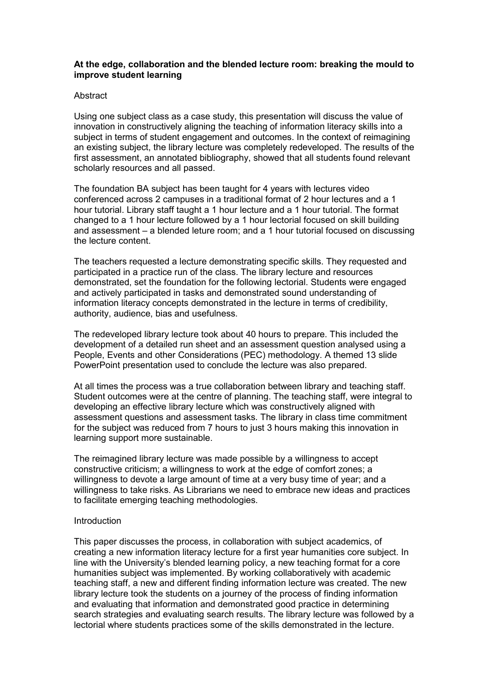# **At the edge, collaboration and the blended lecture room: breaking the mould to improve student learning**

## **Abstract**

Using one subject class as a case study, this presentation will discuss the value of innovation in constructively aligning the teaching of information literacy skills into a subject in terms of student engagement and outcomes. In the context of reimagining an existing subject, the library lecture was completely redeveloped. The results of the first assessment, an annotated bibliography, showed that all students found relevant scholarly resources and all passed.

The foundation BA subject has been taught for 4 years with lectures video conferenced across 2 campuses in a traditional format of 2 hour lectures and a 1 hour tutorial. Library staff taught a 1 hour lecture and a 1 hour tutorial. The format changed to a 1 hour lecture followed by a 1 hour lectorial focused on skill building and assessment – a blended leture room; and a 1 hour tutorial focused on discussing the lecture content.

The teachers requested a lecture demonstrating specific skills. They requested and participated in a practice run of the class. The library lecture and resources demonstrated, set the foundation for the following lectorial. Students were engaged and actively participated in tasks and demonstrated sound understanding of information literacy concepts demonstrated in the lecture in terms of credibility, authority, audience, bias and usefulness.

The redeveloped library lecture took about 40 hours to prepare. This included the development of a detailed run sheet and an assessment question analysed using a People, Events and other Considerations (PEC) methodology. A themed 13 slide PowerPoint presentation used to conclude the lecture was also prepared.

At all times the process was a true collaboration between library and teaching staff. Student outcomes were at the centre of planning. The teaching staff, were integral to developing an effective library lecture which was constructively aligned with assessment questions and assessment tasks. The library in class time commitment for the subject was reduced from 7 hours to just 3 hours making this innovation in learning support more sustainable.

The reimagined library lecture was made possible by a willingness to accept constructive criticism; a willingness to work at the edge of comfort zones; a willingness to devote a large amount of time at a very busy time of year; and a willingness to take risks. As Librarians we need to embrace new ideas and practices to facilitate emerging teaching methodologies.

## Introduction

This paper discusses the process, in collaboration with subject academics, of creating a new information literacy lecture for a first year humanities core subject. In line with the University's blended learning policy, a new teaching format for a core humanities subject was implemented. By working collaboratively with academic teaching staff, a new and different finding information lecture was created. The new library lecture took the students on a journey of the process of finding information and evaluating that information and demonstrated good practice in determining search strategies and evaluating search results. The library lecture was followed by a lectorial where students practices some of the skills demonstrated in the lecture.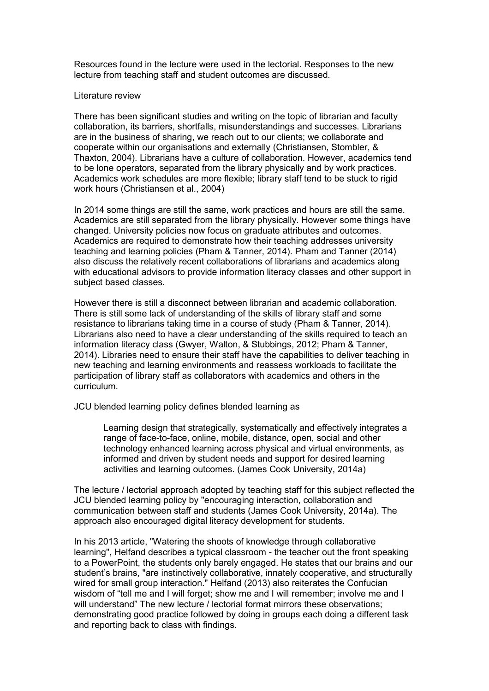Resources found in the lecture were used in the lectorial. Responses to the new lecture from teaching staff and student outcomes are discussed.

### Literature review

There has been significant studies and writing on the topic of librarian and faculty collaboration, its barriers, shortfalls, misunderstandings and successes. Librarians are in the business of sharing, we reach out to our clients; we collaborate and cooperate within our organisations and externally (Christiansen, Stombler, & Thaxton, 2004). Librarians have a culture of collaboration. However, academics tend to be lone operators, separated from the library physically and by work practices. Academics work schedules are more flexible; library staff tend to be stuck to rigid work hours (Christiansen et al., 2004)

In 2014 some things are still the same, work practices and hours are still the same. Academics are still separated from the library physically. However some things have changed. University policies now focus on graduate attributes and outcomes. Academics are required to demonstrate how their teaching addresses university teaching and learning policies (Pham & Tanner, 2014). Pham and Tanner (2014) also discuss the relatively recent collaborations of librarians and academics along with educational advisors to provide information literacy classes and other support in subject based classes.

However there is still a disconnect between librarian and academic collaboration. There is still some lack of understanding of the skills of library staff and some resistance to librarians taking time in a course of study (Pham & Tanner, 2014). Librarians also need to have a clear understanding of the skills required to teach an information literacy class (Gwyer, Walton, & Stubbings, 2012; Pham & Tanner, 2014). Libraries need to ensure their staff have the capabilities to deliver teaching in new teaching and learning environments and reassess workloads to facilitate the participation of library staff as collaborators with academics and others in the curriculum.

JCU blended learning policy defines blended learning as

Learning design that strategically, systematically and effectively integrates a range of face-to-face, online, mobile, distance, open, social and other technology enhanced learning across physical and virtual environments, as informed and driven by student needs and support for desired learning activities and learning outcomes. (James Cook University, 2014a)

The lecture / lectorial approach adopted by teaching staff for this subject reflected the JCU blended learning policy by "encouraging interaction, collaboration and communication between staff and students (James Cook University, 2014a). The approach also encouraged digital literacy development for students.

In his 2013 article, "Watering the shoots of knowledge through collaborative learning", Helfand describes a typical classroom - the teacher out the front speaking to a PowerPoint, the students only barely engaged. He states that our brains and our student's brains, "are instinctively collaborative, innately cooperative, and structurally wired for small group interaction." Helfand (2013) also reiterates the Confucian wisdom of "tell me and I will forget; show me and I will remember; involve me and I will understand" The new lecture / lectorial format mirrors these observations; demonstrating good practice followed by doing in groups each doing a different task and reporting back to class with findings.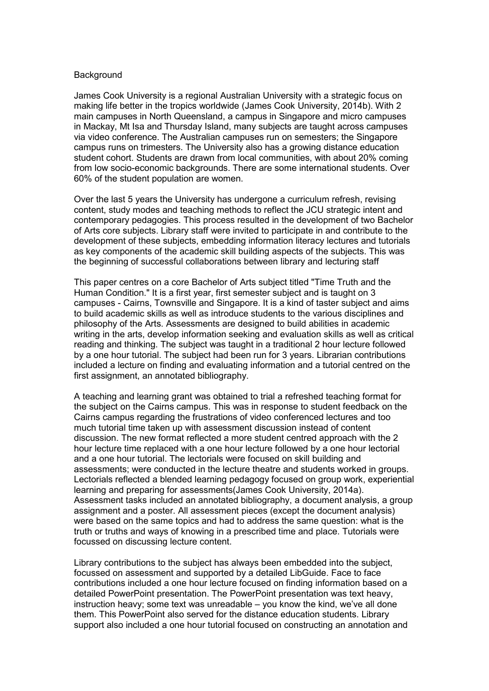### **Background**

James Cook University is a regional Australian University with a strategic focus on making life better in the tropics worldwide (James Cook University, 2014b). With 2 main campuses in North Queensland, a campus in Singapore and micro campuses in Mackay, Mt Isa and Thursday Island, many subjects are taught across campuses via video conference. The Australian campuses run on semesters; the Singapore campus runs on trimesters. The University also has a growing distance education student cohort. Students are drawn from local communities, with about 20% coming from low socio-economic backgrounds. There are some international students. Over 60% of the student population are women.

Over the last 5 years the University has undergone a curriculum refresh, revising content, study modes and teaching methods to reflect the JCU strategic intent and contemporary pedagogies. This process resulted in the development of two Bachelor of Arts core subjects. Library staff were invited to participate in and contribute to the development of these subjects, embedding information literacy lectures and tutorials as key components of the academic skill building aspects of the subjects. This was the beginning of successful collaborations between library and lecturing staff

This paper centres on a core Bachelor of Arts subject titled "Time Truth and the Human Condition." It is a first year, first semester subject and is taught on 3 campuses - Cairns, Townsville and Singapore. It is a kind of taster subject and aims to build academic skills as well as introduce students to the various disciplines and philosophy of the Arts. Assessments are designed to build abilities in academic writing in the arts, develop information seeking and evaluation skills as well as critical reading and thinking. The subject was taught in a traditional 2 hour lecture followed by a one hour tutorial. The subject had been run for 3 years. Librarian contributions included a lecture on finding and evaluating information and a tutorial centred on the first assignment, an annotated bibliography.

A teaching and learning grant was obtained to trial a refreshed teaching format for the subject on the Cairns campus. This was in response to student feedback on the Cairns campus regarding the frustrations of video conferenced lectures and too much tutorial time taken up with assessment discussion instead of content discussion. The new format reflected a more student centred approach with the 2 hour lecture time replaced with a one hour lecture followed by a one hour lectorial and a one hour tutorial. The lectorials were focused on skill building and assessments; were conducted in the lecture theatre and students worked in groups. Lectorials reflected a blended learning pedagogy focused on group work, experiential learning and preparing for assessments(James Cook University, 2014a). Assessment tasks included an annotated bibliography, a document analysis, a group assignment and a poster. All assessment pieces (except the document analysis) were based on the same topics and had to address the same question: what is the truth or truths and ways of knowing in a prescribed time and place. Tutorials were focussed on discussing lecture content.

Library contributions to the subject has always been embedded into the subject, focussed on assessment and supported by a detailed LibGuide. Face to face contributions included a one hour lecture focused on finding information based on a detailed PowerPoint presentation. The PowerPoint presentation was text heavy, instruction heavy; some text was unreadable – you know the kind, we've all done them. This PowerPoint also served for the distance education students. Library support also included a one hour tutorial focused on constructing an annotation and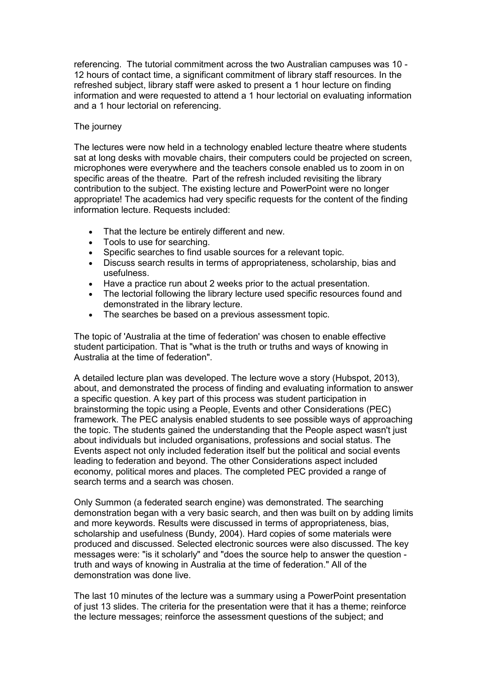referencing. The tutorial commitment across the two Australian campuses was 10 - 12 hours of contact time, a significant commitment of library staff resources. In the refreshed subject, library staff were asked to present a 1 hour lecture on finding information and were requested to attend a 1 hour lectorial on evaluating information and a 1 hour lectorial on referencing.

## The journey

The lectures were now held in a technology enabled lecture theatre where students sat at long desks with movable chairs, their computers could be projected on screen, microphones were everywhere and the teachers console enabled us to zoom in on specific areas of the theatre. Part of the refresh included revisiting the library contribution to the subject. The existing lecture and PowerPoint were no longer appropriate! The academics had very specific requests for the content of the finding information lecture. Requests included:

- That the lecture be entirely different and new.
- Tools to use for searching.
- Specific searches to find usable sources for a relevant topic.
- Discuss search results in terms of appropriateness, scholarship, bias and usefulness.
- Have a practice run about 2 weeks prior to the actual presentation.
- The lectorial following the library lecture used specific resources found and demonstrated in the library lecture.
- The searches be based on a previous assessment topic.

The topic of 'Australia at the time of federation' was chosen to enable effective student participation. That is "what is the truth or truths and ways of knowing in Australia at the time of federation".

A detailed lecture plan was developed. The lecture wove a story (Hubspot, 2013), about, and demonstrated the process of finding and evaluating information to answer a specific question. A key part of this process was student participation in brainstorming the topic using a People, Events and other Considerations (PEC) framework. The PEC analysis enabled students to see possible ways of approaching the topic. The students gained the understanding that the People aspect wasn't just about individuals but included organisations, professions and social status. The Events aspect not only included federation itself but the political and social events leading to federation and beyond. The other Considerations aspect included economy, political mores and places. The completed PEC provided a range of search terms and a search was chosen.

Only Summon (a federated search engine) was demonstrated. The searching demonstration began with a very basic search, and then was built on by adding limits and more keywords. Results were discussed in terms of appropriateness, bias, scholarship and usefulness (Bundy, 2004). Hard copies of some materials were produced and discussed. Selected electronic sources were also discussed. The key messages were: "is it scholarly" and "does the source help to answer the question truth and ways of knowing in Australia at the time of federation." All of the demonstration was done live.

The last 10 minutes of the lecture was a summary using a PowerPoint presentation of just 13 slides. The criteria for the presentation were that it has a theme; reinforce the lecture messages; reinforce the assessment questions of the subject; and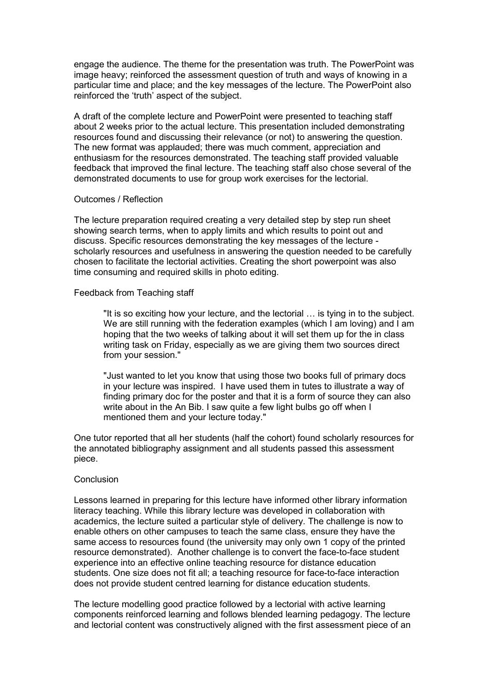engage the audience. The theme for the presentation was truth. The PowerPoint was image heavy; reinforced the assessment question of truth and ways of knowing in a particular time and place; and the key messages of the lecture. The PowerPoint also reinforced the 'truth' aspect of the subject.

A draft of the complete lecture and PowerPoint were presented to teaching staff about 2 weeks prior to the actual lecture. This presentation included demonstrating resources found and discussing their relevance (or not) to answering the question. The new format was applauded; there was much comment, appreciation and enthusiasm for the resources demonstrated. The teaching staff provided valuable feedback that improved the final lecture. The teaching staff also chose several of the demonstrated documents to use for group work exercises for the lectorial.

### Outcomes / Reflection

The lecture preparation required creating a very detailed step by step run sheet showing search terms, when to apply limits and which results to point out and discuss. Specific resources demonstrating the key messages of the lecture scholarly resources and usefulness in answering the question needed to be carefully chosen to facilitate the lectorial activities. Creating the short powerpoint was also time consuming and required skills in photo editing.

### Feedback from Teaching staff

"It is so exciting how your lecture, and the lectorial … is tying in to the subject. We are still running with the federation examples (which I am loving) and I am hoping that the two weeks of talking about it will set them up for the in class writing task on Friday, especially as we are giving them two sources direct from your session."

"Just wanted to let you know that using those two books full of primary docs in your lecture was inspired. I have used them in tutes to illustrate a way of finding primary doc for the poster and that it is a form of source they can also write about in the An Bib. I saw quite a few light bulbs go off when I mentioned them and your lecture today."

One tutor reported that all her students (half the cohort) found scholarly resources for the annotated bibliography assignment and all students passed this assessment piece.

# Conclusion

Lessons learned in preparing for this lecture have informed other library information literacy teaching. While this library lecture was developed in collaboration with academics, the lecture suited a particular style of delivery. The challenge is now to enable others on other campuses to teach the same class, ensure they have the same access to resources found (the university may only own 1 copy of the printed resource demonstrated). Another challenge is to convert the face-to-face student experience into an effective online teaching resource for distance education students. One size does not fit all; a teaching resource for face-to-face interaction does not provide student centred learning for distance education students.

The lecture modelling good practice followed by a lectorial with active learning components reinforced learning and follows blended learning pedagogy. The lecture and lectorial content was constructively aligned with the first assessment piece of an